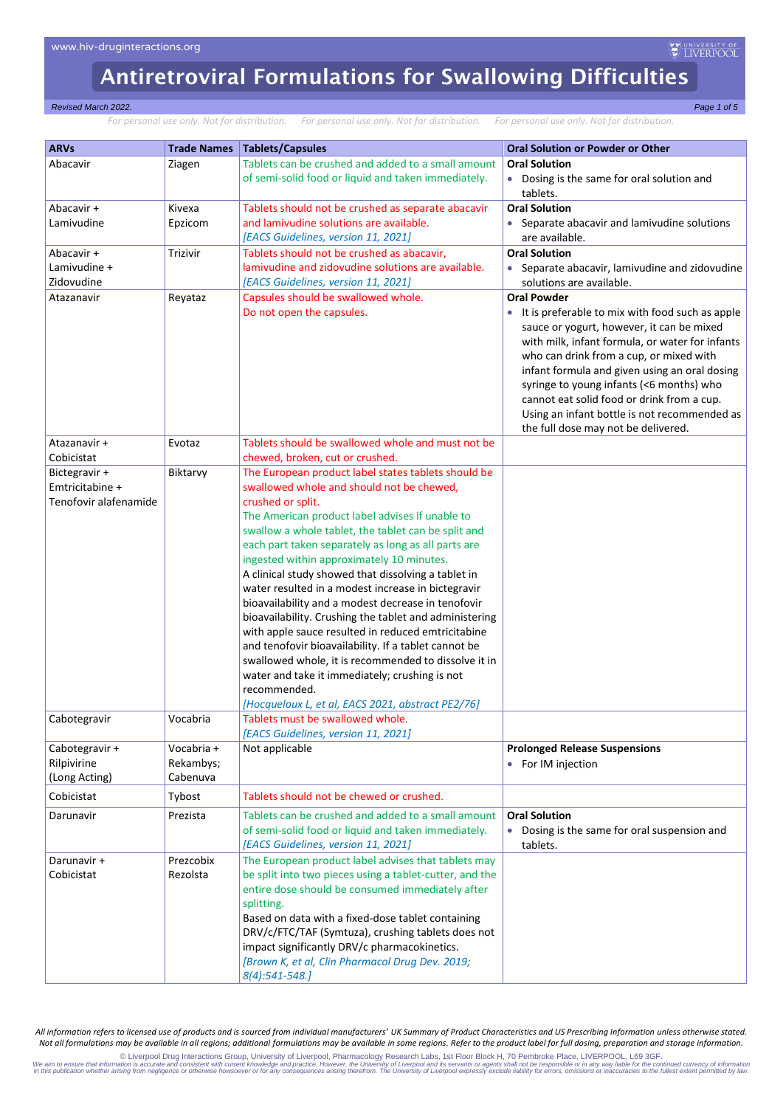#### *Revised March 2022. Page 1 of 5*

*For personal use only. Not for distribution. For personal use only. Not for distribution. For personal use only. Not for distribution.*

| <b>ARVs</b>                      | <b>Trade Names</b> | <b>Tablets/Capsules</b>                                                                       | <b>Oral Solution or Powder or Other</b>         |
|----------------------------------|--------------------|-----------------------------------------------------------------------------------------------|-------------------------------------------------|
| Abacavir                         |                    | Tablets can be crushed and added to a small amount                                            | <b>Oral Solution</b>                            |
|                                  | Ziagen             |                                                                                               |                                                 |
|                                  |                    | of semi-solid food or liquid and taken immediately.                                           | • Dosing is the same for oral solution and      |
|                                  |                    |                                                                                               | tablets.<br><b>Oral Solution</b>                |
| Abacavir +                       | Kivexa             | Tablets should not be crushed as separate abacavir<br>and lamivudine solutions are available. |                                                 |
| Lamivudine                       | Epzicom            |                                                                                               | • Separate abacavir and lamivudine solutions    |
|                                  |                    | [EACS Guidelines, version 11, 2021]                                                           | are available.                                  |
| Abacavir +                       | <b>Trizivir</b>    | Tablets should not be crushed as abacavir,                                                    | <b>Oral Solution</b>                            |
| Lamivudine +                     |                    | lamivudine and zidovudine solutions are available.                                            | • Separate abacavir, lamivudine and zidovudine  |
| Zidovudine                       |                    | [EACS Guidelines, version 11, 2021]                                                           | solutions are available.                        |
| Atazanavir                       | Reyataz            | Capsules should be swallowed whole.                                                           | <b>Oral Powder</b>                              |
|                                  |                    | Do not open the capsules.                                                                     | It is preferable to mix with food such as apple |
|                                  |                    |                                                                                               | sauce or yogurt, however, it can be mixed       |
|                                  |                    |                                                                                               | with milk, infant formula, or water for infants |
|                                  |                    |                                                                                               | who can drink from a cup, or mixed with         |
|                                  |                    |                                                                                               | infant formula and given using an oral dosing   |
|                                  |                    |                                                                                               | syringe to young infants (<6 months) who        |
|                                  |                    |                                                                                               | cannot eat solid food or drink from a cup.      |
|                                  |                    |                                                                                               | Using an infant bottle is not recommended as    |
| Atazanavir +                     |                    | Tablets should be swallowed whole and must not be                                             | the full dose may not be delivered.             |
| Cobicistat                       | Evotaz             | chewed, broken, cut or crushed.                                                               |                                                 |
|                                  | Biktarvy           | The European product label states tablets should be                                           |                                                 |
| Bictegravir +<br>Emtricitabine + |                    | swallowed whole and should not be chewed,                                                     |                                                 |
| Tenofovir alafenamide            |                    | crushed or split.                                                                             |                                                 |
|                                  |                    | The American product label advises if unable to                                               |                                                 |
|                                  |                    | swallow a whole tablet, the tablet can be split and                                           |                                                 |
|                                  |                    | each part taken separately as long as all parts are                                           |                                                 |
|                                  |                    | ingested within approximately 10 minutes.                                                     |                                                 |
|                                  |                    | A clinical study showed that dissolving a tablet in                                           |                                                 |
|                                  |                    | water resulted in a modest increase in bictegravir                                            |                                                 |
|                                  |                    | bioavailability and a modest decrease in tenofovir                                            |                                                 |
|                                  |                    | bioavailability. Crushing the tablet and administering                                        |                                                 |
|                                  |                    | with apple sauce resulted in reduced emtricitabine                                            |                                                 |
|                                  |                    | and tenofovir bioavailability. If a tablet cannot be                                          |                                                 |
|                                  |                    | swallowed whole, it is recommended to dissolve it in                                          |                                                 |
|                                  |                    | water and take it immediately; crushing is not                                                |                                                 |
|                                  |                    | recommended.                                                                                  |                                                 |
|                                  |                    | [Hocqueloux L, et al, EACS 2021, abstract PE2/76]                                             |                                                 |
| Cabotegravir                     | Vocabria           | Tablets must be swallowed whole.                                                              |                                                 |
|                                  |                    | [EACS Guidelines, version 11, 2021]                                                           |                                                 |
| Cabotegravir +                   | Vocabria +         | Not applicable                                                                                | <b>Prolonged Release Suspensions</b>            |
| Rilpivirine                      | Rekambys;          |                                                                                               | • For IM injection                              |
| (Long Acting)                    | Cabenuva           |                                                                                               |                                                 |
| Cobicistat                       | Tybost             | Tablets should not be chewed or crushed.                                                      |                                                 |
| Darunavir                        | Prezista           | Tablets can be crushed and added to a small amount                                            | <b>Oral Solution</b>                            |
|                                  |                    | of semi-solid food or liquid and taken immediately.                                           | • Dosing is the same for oral suspension and    |
|                                  |                    | [EACS Guidelines, version 11, 2021]                                                           | tablets.                                        |
| Darunavir +                      | Prezcobix          | The European product label advises that tablets may                                           |                                                 |
| Cobicistat                       | Rezolsta           | be split into two pieces using a tablet-cutter, and the                                       |                                                 |
|                                  |                    | entire dose should be consumed immediately after                                              |                                                 |
|                                  |                    | splitting.                                                                                    |                                                 |
|                                  |                    | Based on data with a fixed-dose tablet containing                                             |                                                 |
|                                  |                    | DRV/c/FTC/TAF (Symtuza), crushing tablets does not                                            |                                                 |
|                                  |                    | impact significantly DRV/c pharmacokinetics.                                                  |                                                 |
|                                  |                    | [Brown K, et al, Clin Pharmacol Drug Dev. 2019;                                               |                                                 |
|                                  |                    | 8(4):541-548.]                                                                                |                                                 |

*All information refers to licensed use of products and is sourced from individual manufacturers' UK Summary of Product Characteristics and US Prescribing Information unless otherwise stated. Not all formulations may be available in all regions; additional formulations may be available in some regions. Refer to the product label for full dosing, preparation and storage information.*

© Liverpool Drug Interactions Group, University of Liverpool, Pharmacology Research Labs, 1st Floor Block H, 70 Pembroke Place, LIVERPOOL, L69 3GF. time 3 (CH) (@Dembroke Place, LIVERPOOL, L69 3GF. time of the continued cu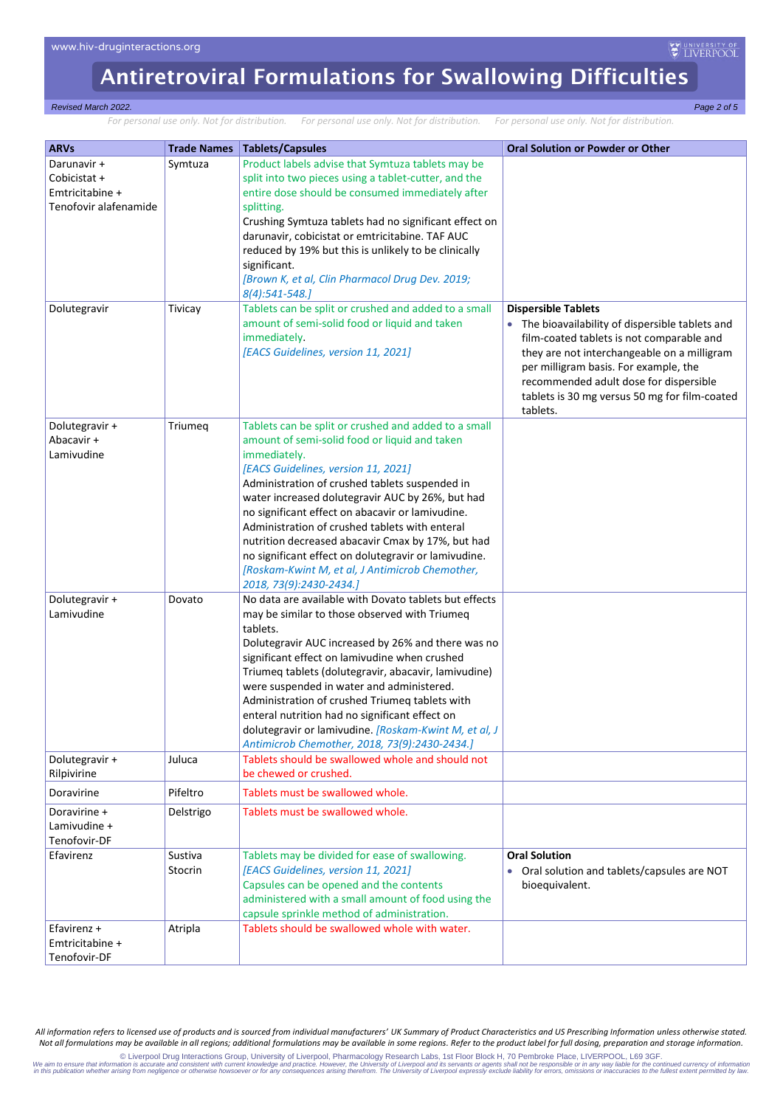#### *Revised March 2022. Page 2 of 5*

*For personal use only. Not for distribution. For personal use only. Not for distribution. For personal use only. Not for distribution.*

| <b>ARVs</b><br>Darunavir +<br>Cobicistat +<br>Emtricitabine +<br>Tenofovir alafenamide<br>Dolutegravir | <b>Trade Names</b><br>Symtuza<br>Tivicay | <b>Tablets/Capsules</b><br>Product labels advise that Symtuza tablets may be<br>split into two pieces using a tablet-cutter, and the<br>entire dose should be consumed immediately after<br>splitting.<br>Crushing Symtuza tablets had no significant effect on<br>darunavir, cobicistat or emtricitabine. TAF AUC<br>reduced by 19% but this is unlikely to be clinically<br>significant.<br>[Brown K, et al, Clin Pharmacol Drug Dev. 2019;<br>8(4):541-548.]<br>Tablets can be split or crushed and added to a small<br>amount of semi-solid food or liquid and taken<br>immediately.<br>[EACS Guidelines, version 11, 2021] | <b>Oral Solution or Powder or Other</b><br><b>Dispersible Tablets</b><br>The bioavailability of dispersible tablets and<br>film-coated tablets is not comparable and<br>they are not interchangeable on a milligram<br>per milligram basis. For example, the |
|--------------------------------------------------------------------------------------------------------|------------------------------------------|---------------------------------------------------------------------------------------------------------------------------------------------------------------------------------------------------------------------------------------------------------------------------------------------------------------------------------------------------------------------------------------------------------------------------------------------------------------------------------------------------------------------------------------------------------------------------------------------------------------------------------|--------------------------------------------------------------------------------------------------------------------------------------------------------------------------------------------------------------------------------------------------------------|
|                                                                                                        |                                          |                                                                                                                                                                                                                                                                                                                                                                                                                                                                                                                                                                                                                                 | recommended adult dose for dispersible<br>tablets is 30 mg versus 50 mg for film-coated<br>tablets.                                                                                                                                                          |
| Dolutegravir +<br>Abacavir +<br>Lamivudine                                                             | Triumeq                                  | Tablets can be split or crushed and added to a small<br>amount of semi-solid food or liquid and taken<br>immediately.<br>[EACS Guidelines, version 11, 2021]<br>Administration of crushed tablets suspended in<br>water increased dolutegravir AUC by 26%, but had<br>no significant effect on abacavir or lamivudine.<br>Administration of crushed tablets with enteral<br>nutrition decreased abacavir Cmax by 17%, but had<br>no significant effect on dolutegravir or lamivudine.<br>[Roskam-Kwint M, et al, J Antimicrob Chemother,<br>2018, 73(9):2430-2434.]                                                             |                                                                                                                                                                                                                                                              |
| Dolutegravir +<br>Lamivudine                                                                           | Dovato                                   | No data are available with Dovato tablets but effects<br>may be similar to those observed with Triumeq<br>tablets.<br>Dolutegravir AUC increased by 26% and there was no<br>significant effect on lamivudine when crushed<br>Triumeq tablets (dolutegravir, abacavir, lamivudine)<br>were suspended in water and administered.<br>Administration of crushed Triumeq tablets with<br>enteral nutrition had no significant effect on<br>dolutegravir or lamivudine. [Roskam-Kwint M, et al, J<br>Antimicrob Chemother, 2018, 73(9):2430-2434.]                                                                                    |                                                                                                                                                                                                                                                              |
| Dolutegravir +<br>Rilpivirine                                                                          | Juluca                                   | Tablets should be swallowed whole and should not<br>be chewed or crushed.                                                                                                                                                                                                                                                                                                                                                                                                                                                                                                                                                       |                                                                                                                                                                                                                                                              |
| Doravirine                                                                                             | Pifeltro                                 | Tablets must be swallowed whole.                                                                                                                                                                                                                                                                                                                                                                                                                                                                                                                                                                                                |                                                                                                                                                                                                                                                              |
| Doravirine +<br>Lamivudine +<br>Tenofovir-DF                                                           | Delstrigo                                | Tablets must be swallowed whole.                                                                                                                                                                                                                                                                                                                                                                                                                                                                                                                                                                                                |                                                                                                                                                                                                                                                              |
| Efavirenz                                                                                              | Sustiva<br>Stocrin                       | Tablets may be divided for ease of swallowing.<br>[EACS Guidelines, version 11, 2021]<br>Capsules can be opened and the contents<br>administered with a small amount of food using the<br>capsule sprinkle method of administration.                                                                                                                                                                                                                                                                                                                                                                                            | <b>Oral Solution</b><br>Oral solution and tablets/capsules are NOT<br>bioequivalent.                                                                                                                                                                         |
| Efavirenz $+$<br>Emtricitabine +<br>Tenofovir-DF                                                       | Atripla                                  | Tablets should be swallowed whole with water.                                                                                                                                                                                                                                                                                                                                                                                                                                                                                                                                                                                   |                                                                                                                                                                                                                                                              |

*All information refers to licensed use of products and is sourced from individual manufacturers' UK Summary of Product Characteristics and US Prescribing Information unless otherwise stated. Not all formulations may be available in all regions; additional formulations may be available in some regions. Refer to the product label for full dosing, preparation and storage information.*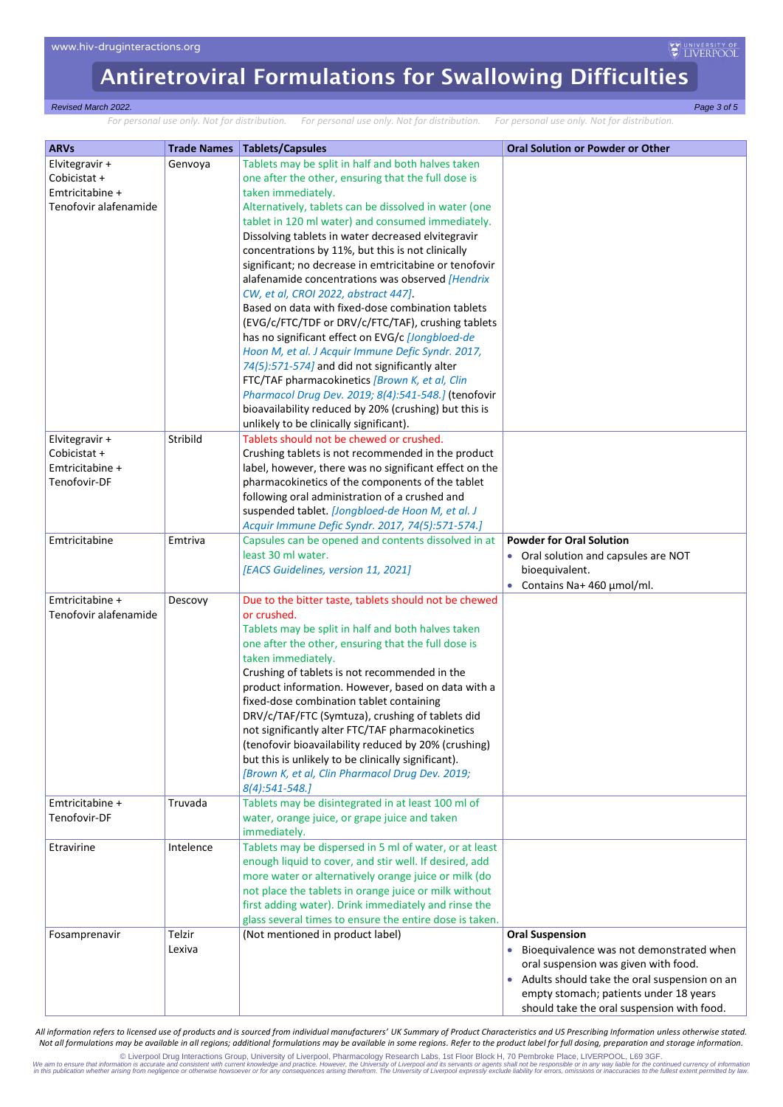#### *Revised March 2022. Page 3 of 5*

*For personal use only. Not for distribution. For personal use only. Not for distribution. For personal use only. Not for distribution.*

| <b>ARVs</b>           | <b>Trade Names</b> | <b>Tablets/Capsules</b>                                 | <b>Oral Solution or Powder or Other</b>        |
|-----------------------|--------------------|---------------------------------------------------------|------------------------------------------------|
| Elvitegravir +        | Genvoya            | Tablets may be split in half and both halves taken      |                                                |
| Cobicistat +          |                    | one after the other, ensuring that the full dose is     |                                                |
| Emtricitabine +       |                    | taken immediately.                                      |                                                |
| Tenofovir alafenamide |                    | Alternatively, tablets can be dissolved in water (one   |                                                |
|                       |                    | tablet in 120 ml water) and consumed immediately.       |                                                |
|                       |                    | Dissolving tablets in water decreased elvitegravir      |                                                |
|                       |                    | concentrations by 11%, but this is not clinically       |                                                |
|                       |                    | significant; no decrease in emtricitabine or tenofovir  |                                                |
|                       |                    | alafenamide concentrations was observed [Hendrix        |                                                |
|                       |                    | CW, et al, CROI 2022, abstract 447].                    |                                                |
|                       |                    | Based on data with fixed-dose combination tablets       |                                                |
|                       |                    | (EVG/c/FTC/TDF or DRV/c/FTC/TAF), crushing tablets      |                                                |
|                       |                    | has no significant effect on EVG/c [Jongbloed-de        |                                                |
|                       |                    | Hoon M, et al. J Acquir Immune Defic Syndr. 2017,       |                                                |
|                       |                    | 74(5):571-574] and did not significantly alter          |                                                |
|                       |                    | FTC/TAF pharmacokinetics [Brown K, et al, Clin          |                                                |
|                       |                    | Pharmacol Drug Dev. 2019; 8(4):541-548.] (tenofovir     |                                                |
|                       |                    | bioavailability reduced by 20% (crushing) but this is   |                                                |
|                       |                    | unlikely to be clinically significant).                 |                                                |
| Elvitegravir +        | Stribild           | Tablets should not be chewed or crushed.                |                                                |
| Cobicistat +          |                    | Crushing tablets is not recommended in the product      |                                                |
| Emtricitabine +       |                    | label, however, there was no significant effect on the  |                                                |
| Tenofovir-DF          |                    | pharmacokinetics of the components of the tablet        |                                                |
|                       |                    | following oral administration of a crushed and          |                                                |
|                       |                    | suspended tablet. [Jongbloed-de Hoon M, et al. J        |                                                |
|                       |                    | Acquir Immune Defic Syndr. 2017, 74(5):571-574.]        |                                                |
| Emtricitabine         | Emtriva            | Capsules can be opened and contents dissolved in at     | <b>Powder for Oral Solution</b>                |
|                       |                    | least 30 ml water.                                      |                                                |
|                       |                    |                                                         | Oral solution and capsules are NOT             |
|                       |                    | [EACS Guidelines, version 11, 2021]                     | bioequivalent.                                 |
|                       |                    |                                                         | Contains Na+ 460 µmol/ml.<br>$\bullet$         |
| Emtricitabine +       | Descovy            | Due to the bitter taste, tablets should not be chewed   |                                                |
| Tenofovir alafenamide |                    | or crushed.                                             |                                                |
|                       |                    | Tablets may be split in half and both halves taken      |                                                |
|                       |                    | one after the other, ensuring that the full dose is     |                                                |
|                       |                    | taken immediately.                                      |                                                |
|                       |                    | Crushing of tablets is not recommended in the           |                                                |
|                       |                    | product information. However, based on data with a      |                                                |
|                       |                    | fixed-dose combination tablet containing                |                                                |
|                       |                    | DRV/c/TAF/FTC (Symtuza), crushing of tablets did        |                                                |
|                       |                    | not significantly alter FTC/TAF pharmacokinetics        |                                                |
|                       |                    | (tenofovir bioavailability reduced by 20% (crushing)    |                                                |
|                       |                    | but this is unlikely to be clinically significant).     |                                                |
|                       |                    | [Brown K, et al, Clin Pharmacol Drug Dev. 2019;         |                                                |
|                       |                    | 8(4):541-548.]                                          |                                                |
| Emtricitabine +       | Truvada            | Tablets may be disintegrated in at least 100 ml of      |                                                |
| Tenofovir-DF          |                    | water, orange juice, or grape juice and taken           |                                                |
|                       |                    | immediately.                                            |                                                |
| Etravirine            | Intelence          | Tablets may be dispersed in 5 ml of water, or at least  |                                                |
|                       |                    | enough liquid to cover, and stir well. If desired, add  |                                                |
|                       |                    | more water or alternatively orange juice or milk (do    |                                                |
|                       |                    | not place the tablets in orange juice or milk without   |                                                |
|                       |                    | first adding water). Drink immediately and rinse the    |                                                |
|                       |                    | glass several times to ensure the entire dose is taken. |                                                |
|                       | Telzir             | (Not mentioned in product label)                        | <b>Oral Suspension</b>                         |
| Fosamprenavir         |                    |                                                         |                                                |
|                       | Lexiva             |                                                         | • Bioequivalence was not demonstrated when     |
|                       |                    |                                                         | oral suspension was given with food.           |
|                       |                    |                                                         | • Adults should take the oral suspension on an |
|                       |                    |                                                         | empty stomach; patients under 18 years         |
|                       |                    |                                                         | should take the oral suspension with food.     |

*All information refers to licensed use of products and is sourced from individual manufacturers' UK Summary of Product Characteristics and US Prescribing Information unless otherwise stated. Not all formulations may be available in all regions; additional formulations may be available in some regions. Refer to the product label for full dosing, preparation and storage information.*

© Liverpool Drug Interactions Group, University of Liverpool, Pharmacology Research Labs, 1st Floor Block H, 70 Pembroke Place, LIVERPOOL, L69 3GF. time 3 (CH) (@Dembroke Place, LIVERPOOL, L69 3GF. time of the continued cu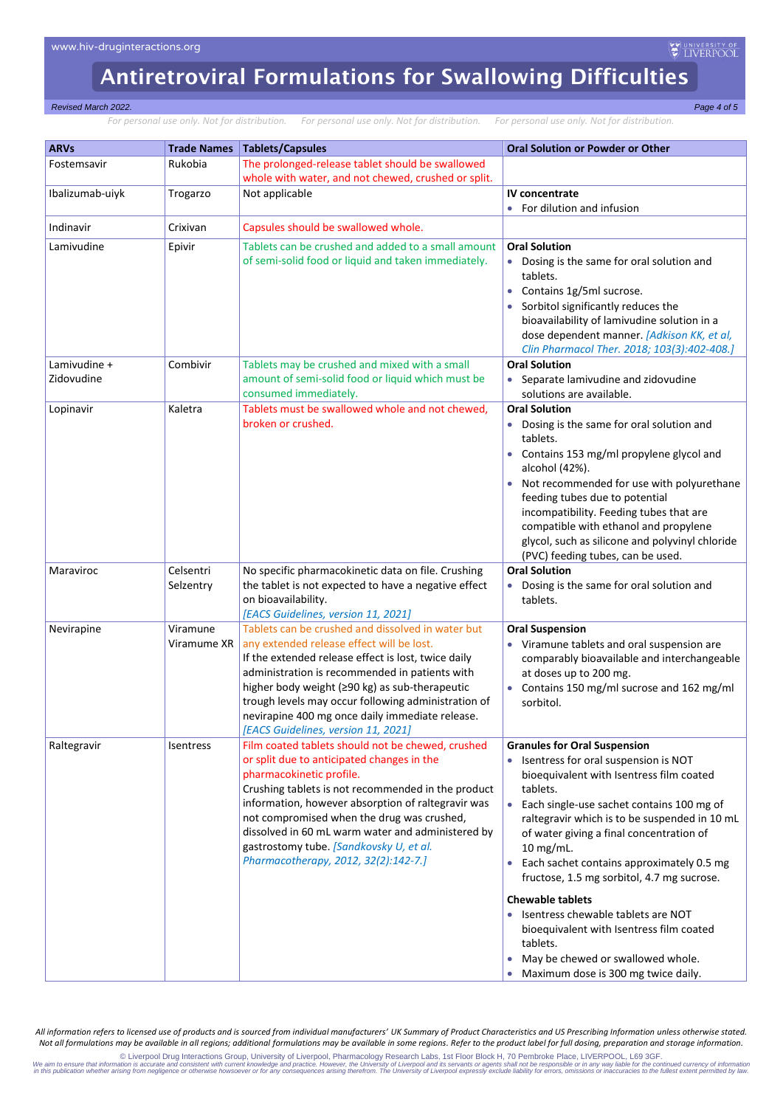#### *Revised March 2022. Page 4 of 5*

*For personal use only. Not for distribution. For personal use only. Not for distribution. For personal use only. Not for distribution.*

| <b>ARVs</b>     | <b>Trade Names</b> | <b>Tablets/Capsules</b>                                                                               | <b>Oral Solution or Powder or Other</b>                                                 |
|-----------------|--------------------|-------------------------------------------------------------------------------------------------------|-----------------------------------------------------------------------------------------|
| Fostemsavir     | Rukobia            | The prolonged-release tablet should be swallowed                                                      |                                                                                         |
|                 |                    | whole with water, and not chewed, crushed or split.                                                   |                                                                                         |
| Ibalizumab-uiyk | Trogarzo           | Not applicable                                                                                        | IV concentrate                                                                          |
|                 |                    |                                                                                                       | For dilution and infusion                                                               |
| Indinavir       | Crixivan           | Capsules should be swallowed whole.                                                                   |                                                                                         |
| Lamivudine      | Epivir             | Tablets can be crushed and added to a small amount                                                    | <b>Oral Solution</b>                                                                    |
|                 |                    | of semi-solid food or liquid and taken immediately.                                                   | Dosing is the same for oral solution and                                                |
|                 |                    |                                                                                                       | tablets.                                                                                |
|                 |                    |                                                                                                       | Contains 1g/5ml sucrose.                                                                |
|                 |                    |                                                                                                       | Sorbitol significantly reduces the<br>bioavailability of lamivudine solution in a       |
|                 |                    |                                                                                                       | dose dependent manner. [Adkison KK, et al,                                              |
|                 |                    |                                                                                                       | Clin Pharmacol Ther. 2018; 103(3):402-408.]                                             |
| Lamivudine +    | Combivir           | Tablets may be crushed and mixed with a small                                                         | <b>Oral Solution</b>                                                                    |
| Zidovudine      |                    | amount of semi-solid food or liquid which must be                                                     | Separate lamivudine and zidovudine                                                      |
|                 |                    | consumed immediately.                                                                                 | solutions are available.                                                                |
| Lopinavir       | Kaletra            | Tablets must be swallowed whole and not chewed,<br>broken or crushed.                                 | <b>Oral Solution</b>                                                                    |
|                 |                    |                                                                                                       | Dosing is the same for oral solution and<br>tablets.                                    |
|                 |                    |                                                                                                       | Contains 153 mg/ml propylene glycol and                                                 |
|                 |                    |                                                                                                       | alcohol (42%).                                                                          |
|                 |                    |                                                                                                       | Not recommended for use with polyurethane                                               |
|                 |                    |                                                                                                       | feeding tubes due to potential                                                          |
|                 |                    |                                                                                                       | incompatibility. Feeding tubes that are                                                 |
|                 |                    |                                                                                                       | compatible with ethanol and propylene                                                   |
|                 |                    |                                                                                                       | glycol, such as silicone and polyvinyl chloride<br>(PVC) feeding tubes, can be used.    |
| Maraviroc       | Celsentri          | No specific pharmacokinetic data on file. Crushing                                                    | <b>Oral Solution</b>                                                                    |
|                 | Selzentry          | the tablet is not expected to have a negative effect                                                  | Dosing is the same for oral solution and                                                |
|                 |                    | on bioavailability.                                                                                   | tablets.                                                                                |
|                 |                    | [EACS Guidelines, version 11, 2021]                                                                   |                                                                                         |
| Nevirapine      | Viramune           | Tablets can be crushed and dissolved in water but                                                     | <b>Oral Suspension</b>                                                                  |
|                 | Viramume XR        | any extended release effect will be lost.                                                             | Viramune tablets and oral suspension are                                                |
|                 |                    | If the extended release effect is lost, twice daily<br>administration is recommended in patients with | comparably bioavailable and interchangeable<br>at doses up to 200 mg.                   |
|                 |                    | higher body weight (≥90 kg) as sub-therapeutic                                                        | Contains 150 mg/ml sucrose and 162 mg/ml                                                |
|                 |                    | trough levels may occur following administration of                                                   | sorbitol.                                                                               |
|                 |                    | nevirapine 400 mg once daily immediate release.                                                       |                                                                                         |
|                 |                    | [EACS Guidelines, version 11, 2021]                                                                   |                                                                                         |
| Raltegravir     | Isentress          | Film coated tablets should not be chewed, crushed                                                     | <b>Granules for Oral Suspension</b>                                                     |
|                 |                    | or split due to anticipated changes in the                                                            | Isentress for oral suspension is NOT                                                    |
|                 |                    | pharmacokinetic profile.<br>Crushing tablets is not recommended in the product                        | bioequivalent with Isentress film coated<br>tablets.                                    |
|                 |                    | information, however absorption of raltegravir was                                                    | Each single-use sachet contains 100 mg of<br>$\bullet$                                  |
|                 |                    | not compromised when the drug was crushed,                                                            | raltegravir which is to be suspended in 10 mL                                           |
|                 |                    | dissolved in 60 mL warm water and administered by                                                     | of water giving a final concentration of                                                |
|                 |                    | gastrostomy tube. [Sandkovsky U, et al.                                                               | 10 mg/mL.                                                                               |
|                 |                    | Pharmacotherapy, 2012, 32(2):142-7.]                                                                  | Each sachet contains approximately 0.5 mg<br>fructose, 1.5 mg sorbitol, 4.7 mg sucrose. |
|                 |                    |                                                                                                       | <b>Chewable tablets</b>                                                                 |
|                 |                    |                                                                                                       | Isentress chewable tablets are NOT                                                      |
|                 |                    |                                                                                                       | bioequivalent with Isentress film coated                                                |
|                 |                    |                                                                                                       | tablets.                                                                                |
|                 |                    |                                                                                                       | May be chewed or swallowed whole.                                                       |
|                 |                    |                                                                                                       | Maximum dose is 300 mg twice daily.                                                     |

*All information refers to licensed use of products and is sourced from individual manufacturers' UK Summary of Product Characteristics and US Prescribing Information unless otherwise stated. Not all formulations may be available in all regions; additional formulations may be available in some regions. Refer to the product label for full dosing, preparation and storage information.*

© Liverpool Drug Interactions Group, University of Liverpool, Pharmacology Research Labs, 1st Floor Block H, 70 Pembroke Place, LIVERPOOL, L69 3GF. time 3 (CH) (@Dembroke Place, LIVERPOOL, L69 3GF. time of the continued cu